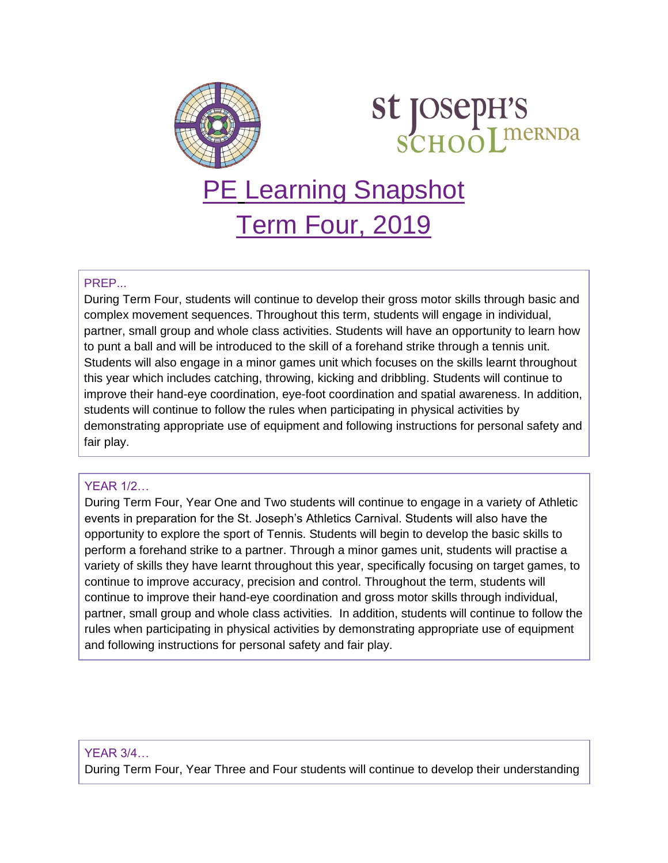

# **st JOSepH'S<br>SCHOOLIMERNDA**

## PE Learning Snapshot Term Four, 2019

### PREP...

During Term Four, students will continue to develop their gross motor skills through basic and complex movement sequences. Throughout this term, students will engage in individual, partner, small group and whole class activities. Students will have an opportunity to learn how to punt a ball and will be introduced to the skill of a forehand strike through a tennis unit. Students will also engage in a minor games unit which focuses on the skills learnt throughout this year which includes catching, throwing, kicking and dribbling. Students will continue to improve their hand-eye coordination, eye-foot coordination and spatial awareness. In addition, students will continue to follow the rules when participating in physical activities by demonstrating appropriate use of equipment and following instructions for personal safety and fair play.

#### YEAR 1/2…

During Term Four, Year One and Two students will continue to engage in a variety of Athletic events in preparation for the St. Joseph's Athletics Carnival. Students will also have the opportunity to explore the sport of Tennis. Students will begin to develop the basic skills to perform a forehand strike to a partner. Through a minor games unit, students will practise a variety of skills they have learnt throughout this year, specifically focusing on target games, to continue to improve accuracy, precision and control. Throughout the term, students will continue to improve their hand-eye coordination and gross motor skills through individual, partner, small group and whole class activities. In addition, students will continue to follow the rules when participating in physical activities by demonstrating appropriate use of equipment and following instructions for personal safety and fair play.

#### YEAR 3/4…

During Term Four, Year Three and Four students will continue to develop their understanding